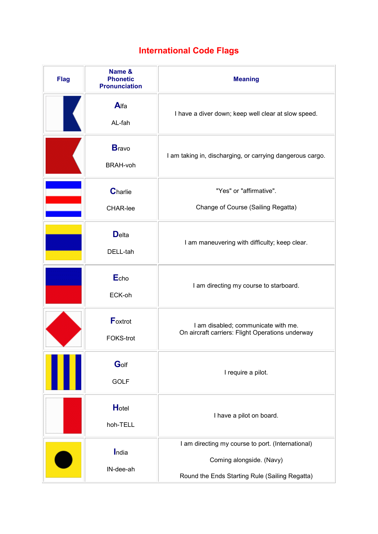## **International Code Flags**

| <b>Flag</b> | Name &<br><b>Phonetic</b><br><b>Pronunciation</b> | <b>Meaning</b>                                                                                                                  |  |
|-------------|---------------------------------------------------|---------------------------------------------------------------------------------------------------------------------------------|--|
|             | Alfa<br>AL-fah                                    | I have a diver down; keep well clear at slow speed.                                                                             |  |
|             | <b>B</b> ravo<br><b>BRAH-voh</b>                  | I am taking in, discharging, or carrying dangerous cargo.                                                                       |  |
|             | Charlie<br>CHAR-lee                               | "Yes" or "affirmative".<br>Change of Course (Sailing Regatta)                                                                   |  |
|             | <b>D</b> elta<br>DELL-tah                         | I am maneuvering with difficulty; keep clear.                                                                                   |  |
|             | Echo<br>ECK-oh                                    | I am directing my course to starboard.                                                                                          |  |
|             | Foxtrot<br>FOKS-trot                              | I am disabled; communicate with me.<br>On aircraft carriers: Flight Operations underway                                         |  |
|             | Golf<br><b>GOLF</b>                               | I require a pilot.                                                                                                              |  |
|             | Hotel<br>hoh-TELL                                 | I have a pilot on board.                                                                                                        |  |
|             | India<br>IN-dee-ah                                | I am directing my course to port. (International)<br>Coming alongside. (Navy)<br>Round the Ends Starting Rule (Sailing Regatta) |  |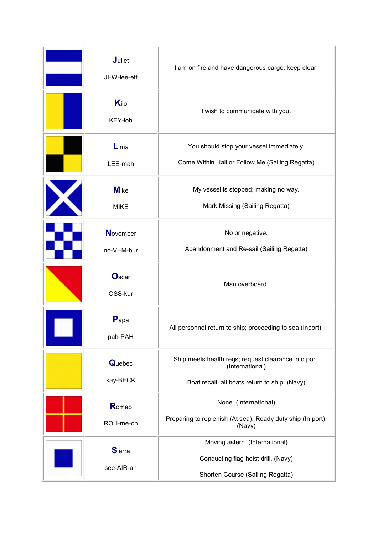| Juliet<br>JEW-lee-ett         | I am on fire and have dangerous cargo; keep clear.                                                                       |  |
|-------------------------------|--------------------------------------------------------------------------------------------------------------------------|--|
| Kilo<br>KEY-loh               | I wish to communicate with you.                                                                                          |  |
| Lima<br>LEE-mah               | You should stop your vessel immediately.<br>Come Within Hail or Follow Me (Sailing Regatta)                              |  |
| <b>M</b> ike<br><b>MIKE</b>   | My vessel is stopped; making no way.<br>Mark Missing (Sailing Regatta)                                                   |  |
| <b>November</b><br>no-VEM-bur | No or negative.<br>Abandonment and Re-sail (Sailing Regatta)                                                             |  |
| Oscar<br>OSS-kur              | Man overboard.                                                                                                           |  |
| Papa<br>pah-PAH               | All personnel return to ship; proceeding to sea (Inport).                                                                |  |
| <b>Quebec</b><br>kay-BECK     | Ship meets health regs; request clearance into port.<br>(International)<br>Boat recall; all boats return to ship. (Navy) |  |
| Romeo<br>ROH-me-oh            | None. (International)<br>Preparing to replenish (At sea). Ready duty ship (In port).<br>(Navy)                           |  |
| <b>Sierra</b><br>see-AIR-ah   | Moving astern. (International)<br>Conducting flag hoist drill. (Navy)<br>Shorten Course (Sailing Regatta)                |  |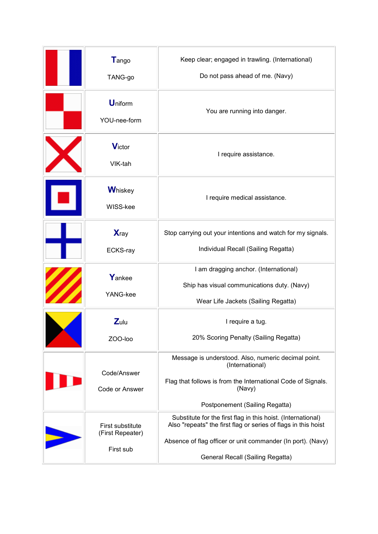| Tango<br>TANG-go                                  | Keep clear; engaged in trawling. (International)<br>Do not pass ahead of me. (Navy)                                                                                                                                               |  |  |
|---------------------------------------------------|-----------------------------------------------------------------------------------------------------------------------------------------------------------------------------------------------------------------------------------|--|--|
| <b>Uniform</b><br>YOU-nee-form                    | You are running into danger.                                                                                                                                                                                                      |  |  |
| <b>Victor</b><br>VIK-tah                          | I require assistance.                                                                                                                                                                                                             |  |  |
| <b>Whiskey</b><br>WISS-kee                        | I require medical assistance.                                                                                                                                                                                                     |  |  |
| <b>X</b> ray<br>ECKS-ray                          | Stop carrying out your intentions and watch for my signals.<br>Individual Recall (Sailing Regatta)                                                                                                                                |  |  |
| Yankee<br>YANG-kee                                | I am dragging anchor. (International)<br>Ship has visual communications duty. (Navy)<br>Wear Life Jackets (Sailing Regatta)                                                                                                       |  |  |
| $Z$ ulu<br>ZOO-loo                                | I require a tug.<br>20% Scoring Penalty (Sailing Regatta)                                                                                                                                                                         |  |  |
| Code/Answer<br>Code or Answer                     | Message is understood. Also, numeric decimal point.<br>(International)<br>Flag that follows is from the International Code of Signals.<br>(Navy)<br>Postponement (Sailing Regatta)                                                |  |  |
| First substitute<br>(First Repeater)<br>First sub | Substitute for the first flag in this hoist. (International)<br>Also "repeats" the first flag or series of flags in this hoist<br>Absence of flag officer or unit commander (In port). (Navy)<br>General Recall (Sailing Regatta) |  |  |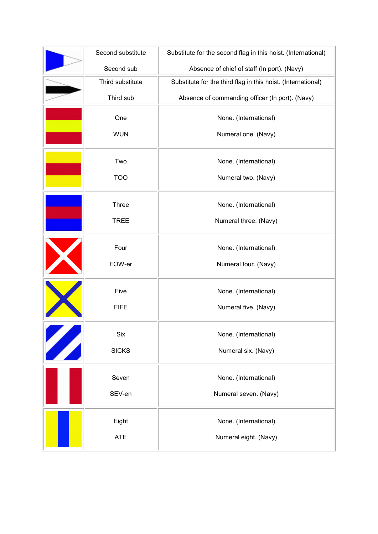|                           | Second substitute | Substitute for the second flag in this hoist. (International) |  |
|---------------------------|-------------------|---------------------------------------------------------------|--|
|                           | Second sub        | Absence of chief of staff (In port). (Navy)                   |  |
|                           | Third substitute  | Substitute for the third flag in this hoist. (International)  |  |
|                           | Third sub         | Absence of commanding officer (In port). (Navy)               |  |
|                           | One               | None. (International)                                         |  |
|                           | <b>WUN</b>        | Numeral one. (Navy)                                           |  |
|                           | Two               | None. (International)                                         |  |
|                           | <b>TOO</b>        | Numeral two. (Navy)                                           |  |
|                           | Three             | None. (International)                                         |  |
|                           | <b>TREE</b>       | Numeral three. (Navy)                                         |  |
|                           | Four              | None. (International)                                         |  |
|                           | FOW-er            | Numeral four. (Navy)                                          |  |
|                           | Five              | None. (International)                                         |  |
|                           | <b>FIFE</b>       | Numeral five. (Navy)                                          |  |
|                           | <b>Six</b>        | None. (International)                                         |  |
| <b>Alternative School</b> | <b>SICKS</b>      | Numeral six. (Navy)                                           |  |
|                           | Seven             | None. (International)                                         |  |
|                           | SEV-en            | Numeral seven. (Navy)                                         |  |
|                           | Eight             | None. (International)                                         |  |
|                           | <b>ATE</b>        | Numeral eight. (Navy)                                         |  |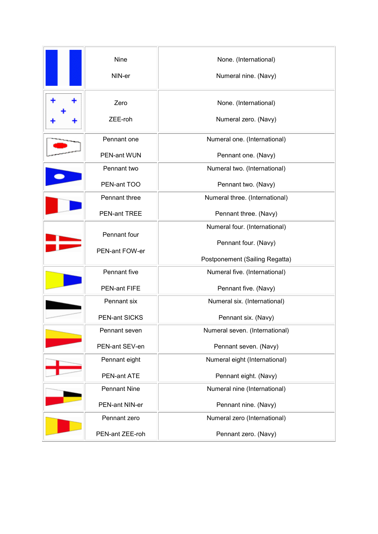| <b>Nine</b><br>NIN-er                                                                  | None. (International)<br>Numeral nine. (Navy)                                                                    |  |
|----------------------------------------------------------------------------------------|------------------------------------------------------------------------------------------------------------------|--|
| Zero<br>ZEE-roh                                                                        | None. (International)<br>Numeral zero. (Navy)                                                                    |  |
| Pennant one<br>PEN-ant WUN                                                             | Numeral one. (International)<br>Pennant one. (Navy)                                                              |  |
| Pennant two<br>PEN-ant TOO                                                             | Numeral two. (International)<br>Pennant two. (Navy)                                                              |  |
| Pennant three<br>PEN-ant TREE                                                          | Numeral three. (International)                                                                                   |  |
| Pennant four<br>PEN-ant FOW-er                                                         | Pennant three. (Navy)<br>Numeral four. (International)<br>Pennant four. (Navy)<br>Postponement (Sailing Regatta) |  |
| Pennant five<br>PEN-ant FIFE                                                           | Numeral five. (International)<br>Pennant five. (Navy)                                                            |  |
| Pennant six<br><b>PEN-ant SICKS</b>                                                    | Numeral six. (International)<br>Pennant six. (Navy)                                                              |  |
| Pennant seven<br>PEN-ant SEV-en                                                        | Numeral seven. (International)<br>Pennant seven. (Navy)                                                          |  |
| Numeral eight (International)<br>Pennant eight<br>PEN-ant ATE<br>Pennant eight. (Navy) |                                                                                                                  |  |
| <b>Pennant Nine</b><br>PEN-ant NIN-er                                                  | Numeral nine (International)<br>Pennant nine. (Navy)                                                             |  |
| Pennant zero<br>PEN-ant ZEE-roh                                                        | Numeral zero (International)<br>Pennant zero. (Navy)                                                             |  |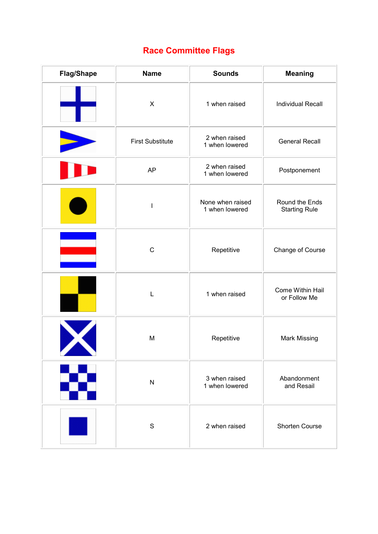## **Race Committee Flags**

| <b>Flag/Shape</b> | <b>Name</b>              | <b>Sounds</b>                      | <b>Meaning</b>                         |
|-------------------|--------------------------|------------------------------------|----------------------------------------|
|                   | $\mathsf X$              | 1 when raised                      | <b>Individual Recall</b>               |
|                   | <b>First Substitute</b>  | 2 when raised<br>1 when lowered    | <b>General Recall</b>                  |
|                   | <b>AP</b>                | 2 when raised<br>1 when lowered    | Postponement                           |
|                   | $\overline{\phantom{a}}$ | None when raised<br>1 when lowered | Round the Ends<br><b>Starting Rule</b> |
|                   | $\mathsf C$              | Repetitive                         | Change of Course                       |
|                   | L                        | 1 when raised                      | Come Within Hail<br>or Follow Me       |
|                   | M                        | Repetitive                         | <b>Mark Missing</b>                    |
|                   | $\mathsf{N}$             | 3 when raised<br>1 when lowered    | Abandonment<br>and Resail              |
|                   | $\mathbf S$              | 2 when raised                      | Shorten Course                         |